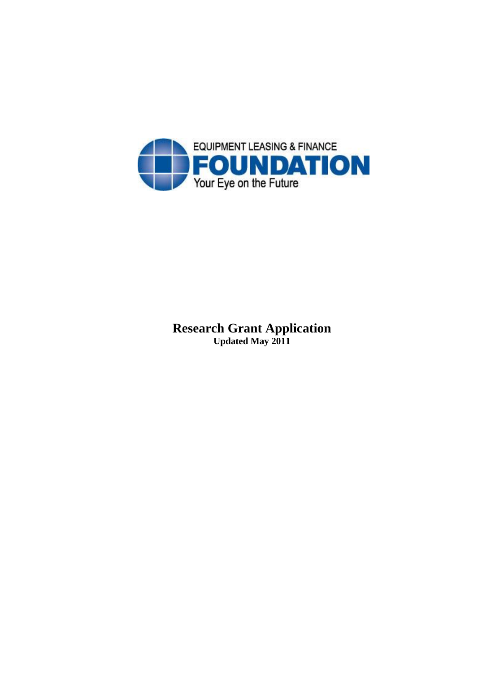

## **Research Grant Application Updated May 2011**